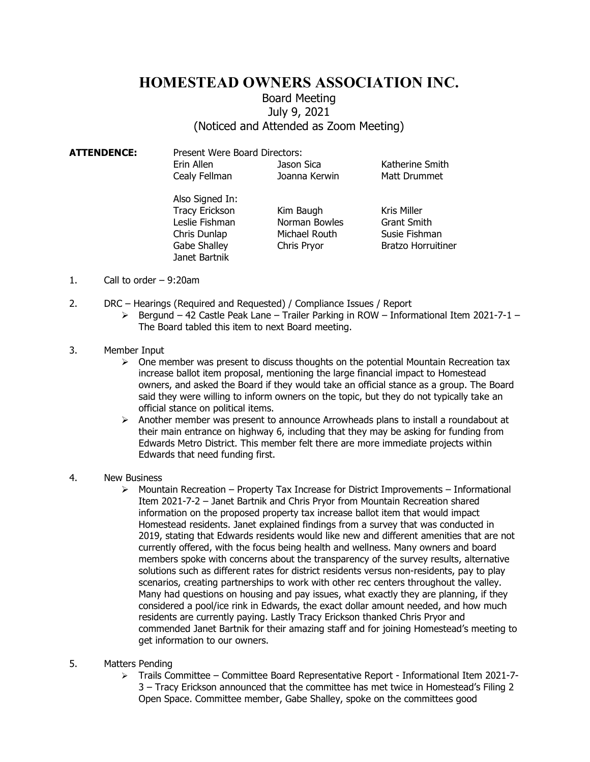## HOMESTEAD OWNERS ASSOCIATION INC.

## Board Meeting July 9, 2021 (Noticed and Attended as Zoom Meeting)

| <b>ATTENDENCE:</b> | Present Were Board Directors: |                    |                           |
|--------------------|-------------------------------|--------------------|---------------------------|
|                    | Erin Allen                    | Jason Sica         | Katherine Smith           |
|                    | Cealy Fellman                 | Joanna Kerwin      | Matt Drummet              |
|                    | Also Signed In:               |                    |                           |
|                    | <b>Tracy Erickson</b>         | Kim Baugh          | Kris Miller               |
|                    | Leslie Fishman                | Norman Bowles      | <b>Grant Smith</b>        |
|                    | Chris Dunlap                  | Michael Routh      | Susie Fishman             |
|                    | Gabe Shalley                  | <b>Chris Pryor</b> | <b>Bratzo Horruitiner</b> |

- 1. Call to order 9:20am
- 2. DRC Hearings (Required and Requested) / Compliance Issues / Report

Janet Bartnik

- $\triangleright$  Bergund 42 Castle Peak Lane Trailer Parking in ROW Informational Item 2021-7-1 The Board tabled this item to next Board meeting.
- 3. Member Input
	- $\triangleright$  One member was present to discuss thoughts on the potential Mountain Recreation tax increase ballot item proposal, mentioning the large financial impact to Homestead owners, and asked the Board if they would take an official stance as a group. The Board said they were willing to inform owners on the topic, but they do not typically take an official stance on political items.
	- $\triangleright$  Another member was present to announce Arrowheads plans to install a roundabout at their main entrance on highway 6, including that they may be asking for funding from Edwards Metro District. This member felt there are more immediate projects within Edwards that need funding first.
- 4. New Business
	- $\triangleright$  Mountain Recreation Property Tax Increase for District Improvements Informational Item 2021-7-2 – Janet Bartnik and Chris Pryor from Mountain Recreation shared information on the proposed property tax increase ballot item that would impact Homestead residents. Janet explained findings from a survey that was conducted in 2019, stating that Edwards residents would like new and different amenities that are not currently offered, with the focus being health and wellness. Many owners and board members spoke with concerns about the transparency of the survey results, alternative solutions such as different rates for district residents versus non-residents, pay to play scenarios, creating partnerships to work with other rec centers throughout the valley. Many had questions on housing and pay issues, what exactly they are planning, if they considered a pool/ice rink in Edwards, the exact dollar amount needed, and how much residents are currently paying. Lastly Tracy Erickson thanked Chris Pryor and commended Janet Bartnik for their amazing staff and for joining Homestead's meeting to get information to our owners.
- 5. Matters Pending
	- Trails Committee Committee Board Representative Report Informational Item 2021-7- 3 – Tracy Erickson announced that the committee has met twice in Homestead's Filing 2 Open Space. Committee member, Gabe Shalley, spoke on the committees good